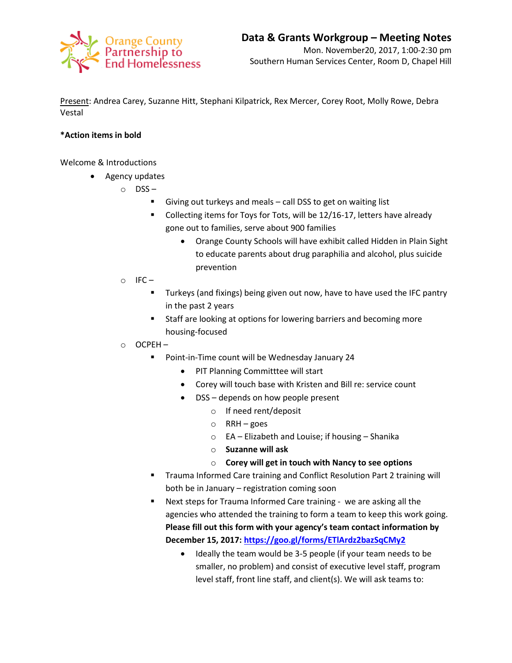

Present: Andrea Carey, Suzanne Hitt, Stephani Kilpatrick, Rex Mercer, Corey Root, Molly Rowe, Debra Vestal

## **\*Action items in bold**

Welcome & Introductions

- Agency updates
	- o DSS
		- Giving out turkeys and meals call DSS to get on waiting list
		- Collecting items for Toys for Tots, will be 12/16-17, letters have already gone out to families, serve about 900 families
			- Orange County Schools will have exhibit called Hidden in Plain Sight to educate parents about drug paraphilia and alcohol, plus suicide prevention
	- $\circ$  IFC
		- **Turkeys (and fixings) being given out now, have to have used the IFC pantry** in the past 2 years
		- **Staff are looking at options for lowering barriers and becoming more** housing-focused
	- o OCPEH
		- **Point-in-Time count will be Wednesday January 24** 
			- PIT Planning Committtee will start
			- Corey will touch base with Kristen and Bill re: service count
			- DSS depends on how people present
				- o If need rent/deposit
				- o RRH goes
				- o EA Elizabeth and Louise; if housing Shanika
				- o **Suzanne will ask**
				- o **Corey will get in touch with Nancy to see options**
		- **Trauma Informed Care training and Conflict Resolution Part 2 training will** both be in January – registration coming soon
		- Next steps for Trauma Informed Care training we are asking all the agencies who attended the training to form a team to keep this work going. **Please fill out this form with your agency's team contact information by December 15, 2017[: https://goo.gl/forms/ETlArdz2bazSqCMy2](https://goo.gl/forms/ETlArdz2bazSqCMy2)**
			- Ideally the team would be 3-5 people (if your team needs to be smaller, no problem) and consist of executive level staff, program level staff, front line staff, and client(s). We will ask teams to: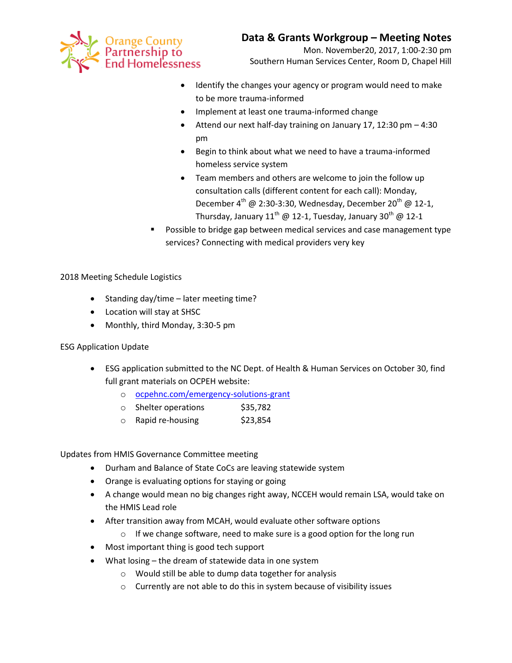

Mon. November20, 2017, 1:00-2:30 pm Southern Human Services Center, Room D, Chapel Hill

- Identify the changes your agency or program would need to make to be more trauma-informed
- Implement at least one trauma-informed change
- Attend our next half-day training on January 17, 12:30 pm 4:30 pm
- Begin to think about what we need to have a trauma-informed homeless service system
- Team members and others are welcome to join the follow up consultation calls (different content for each call): Monday, December  $4^{\text{th}}$  @ 2:30-3:30, Wednesday, December 20<sup>th</sup> @ 12-1, Thursday, January 11<sup>th</sup> @ 12-1, Tuesday, January 30<sup>th</sup> @ 12-1
- Possible to bridge gap between medical services and case management type services? Connecting with medical providers very key

2018 Meeting Schedule Logistics

- Standing day/time later meeting time?
- Location will stay at SHSC
- Monthly, third Monday, 3:30-5 pm

ESG Application Update

- ESG application submitted to the NC Dept. of Health & Human Services on October 30, find full grant materials on OCPEH website:
	- o [ocpehnc.com/emergency-solutions-grant](https://www.ocpehnc.com/emergency-solutions-grant)
	- o Shelter operations \$35,782
	- $\circ$  Rapid re-housing  $$23,854$

Updates from HMIS Governance Committee meeting

- Durham and Balance of State CoCs are leaving statewide system
- Orange is evaluating options for staying or going
- A change would mean no big changes right away, NCCEH would remain LSA, would take on the HMIS Lead role
- After transition away from MCAH, would evaluate other software options
	- o If we change software, need to make sure is a good option for the long run
- Most important thing is good tech support
- What losing the dream of statewide data in one system
	- o Would still be able to dump data together for analysis
	- o Currently are not able to do this in system because of visibility issues